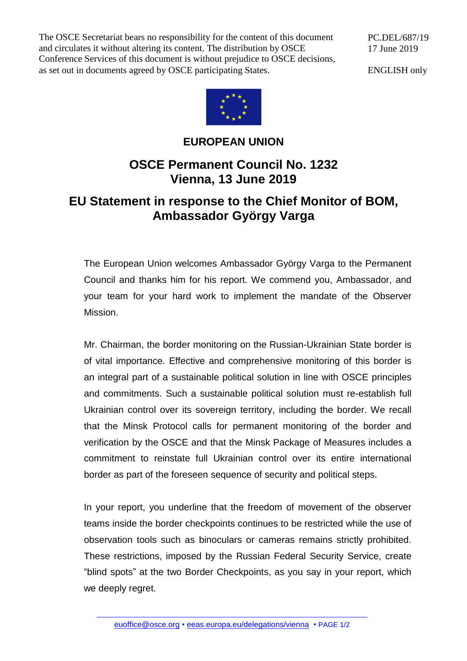The OSCE Secretariat bears no responsibility for the content of this document and circulates it without altering its content. The distribution by OSCE Conference Services of this document is without prejudice to OSCE decisions, as set out in documents agreed by OSCE participating States.

PC.DEL/687/19 17 June 2019

ENGLISH only



## **EUROPEAN UNION**

## **OSCE Permanent Council No. 1232 Vienna, 13 June 2019**

## **EU Statement in response to the Chief Monitor of BOM, Ambassador György Varga**

The European Union welcomes Ambassador György Varga to the Permanent Council and thanks him for his report. We commend you, Ambassador, and your team for your hard work to implement the mandate of the Observer Mission.

Mr. Chairman, the border monitoring on the Russian-Ukrainian State border is of vital importance. Effective and comprehensive monitoring of this border is an integral part of a sustainable political solution in line with OSCE principles and commitments. Such a sustainable political solution must re-establish full Ukrainian control over its sovereign territory, including the border. We recall that the Minsk Protocol calls for permanent monitoring of the border and verification by the OSCE and that the Minsk Package of Measures includes a commitment to reinstate full Ukrainian control over its entire international border as part of the foreseen sequence of security and political steps.

In your report, you underline that the freedom of movement of the observer teams inside the border checkpoints continues to be restricted while the use of observation tools such as binoculars or cameras remains strictly prohibited. These restrictions, imposed by the Russian Federal Security Service, create "blind spots" at the two Border Checkpoints, as you say in your report, which we deeply regret.